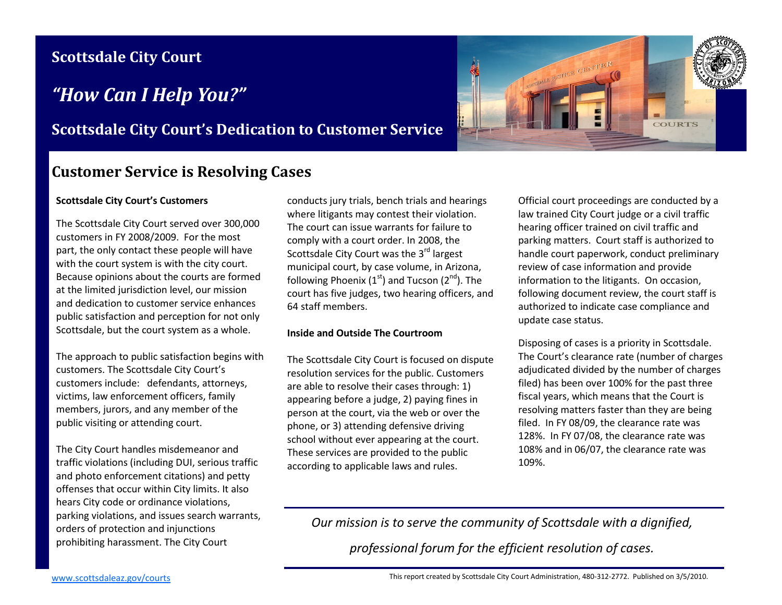## **Scottsdale City Court**

# *"How Can I Help You?"*

### **Scottsdale City Court's Dedication to Customer Service**

### **Customer Service is Resolving Cases**

#### **Scottsdale City Court's Customers**

The Scottsdale City Court served over 300,000 customers in FY 2008/2009. For the most part, the only contact these people will have with the court system is with the city court. Because opinions about the courts are formed at the limited jurisdiction level, our mission and dedication to customer service enhances public satisfaction and perception for not only Scottsdale, but the court system as a whole.

The approach to public satisfaction begins with customers. The Scottsdale City Court's customers include: defendants, attorneys, victims, law enforcement officers, family members, jurors, and any member of the public visiting or attending court.

The City Court handles misdemeanor and traffic violations (including DUI, serious traffic and photo enforcement citations) and petty offenses that occur within City limits. It also hears City code or ordinance violations, parking violations, and issues search warrants, orders of protection and injunctions prohibiting harassment. The City Court

conducts jury trials, bench trials and hearings where litigants may contest their violation. The court can issue warrants for failure to comply with a court order. In 2008, the Scottsdale City Court was the 3<sup>rd</sup> largest municipal court, by case volume, in Arizona, following Phoenix (1<sup>st</sup>) and Tucson (2<sup>nd</sup>). The court has five judges, two hearing officers, and 64 staff members.

#### **Inside and Outside The Courtroom**

The Scottsdale City Court is focused on dispute resolution services for the public. Customers are able to resolve their cases through: 1) appearing before a judge, 2) paying fines in person at the court, via the web or over the phone, or 3) attending defensive driving school without ever appearing at the court. These services are provided to the public according to applicable laws and rules.

OTSDALE JUSTICE CENTER **COURTS** 

> Official court proceedings are conducted by a law trained City Court judge or a civil traffic hearing officer trained on civil traffic and parking matters. Court staff is authorized to handle court paperwork, conduct preliminary review of case information and provide information to the litigants. On occasion, following document review, the court staff is authorized to indicate case compliance and update case status.

> Disposing of cases is a priority in Scottsdale. The Court's clearance rate (number of charges adjudicated divided by the number of charges filed) has been over 100% for the past three fiscal years, which means that the Court is resolving matters faster than they are being filed. In FY 08/09, the clearance rate was 128%. In FY 07/08, the clearance rate was 108% and in 06/07, the clearance rate was 109%.

*Our mission is to serve the community of Scottsdale with a dignified,* 

*professional forum for the efficient resolution of cases.*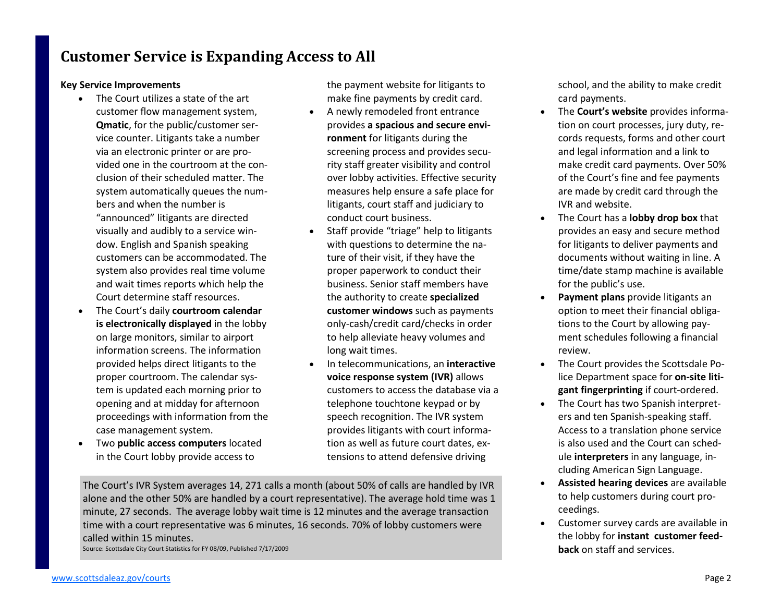# **Customer Service is Expanding Access to All**

### **Key Service Improvements**

- The Court utilizes a state of the art customer flow management system, **Qmatic**, for the public/customer service counter. Litigants take a number via an electronic printer or are provided one in the courtroom at the conclusion of their scheduled matter. The system automatically queues the numbers and when the number is "announced" litigants are directed visually and audibly to a service window. English and Spanish speaking customers can be accommodated. The system also provides real time volume and wait times reports which help the Court determine staff resources.
- The Court's daily **courtroom calendar is electronically displayed** in the lobby on large monitors, similar to airport information screens. The information provided helps direct litigants to the proper courtroom. The calendar system is updated each morning prior to opening and at midday for afternoon proceedings with information from the case management system.
- Two **public access computers** located in the Court lobby provide access to

the payment website for litigants to make fine payments by credit card.

- A newly remodeled front entrance provides **a spacious and secure environment** for litigants during the screening process and provides security staff greater visibility and control over lobby activities. Effective security measures help ensure a safe place for litigants, court staff and judiciary to conduct court business.
- Staff provide "triage" help to litigants with questions to determine the nature of their visit, if they have the proper paperwork to conduct their business. Senior staff members have the authority to create **specialized customer windows** such as payments only-cash/credit card/checks in order to help alleviate heavy volumes and long wait times.
- In telecommunications, an **interactive voice response system (IVR)** allows customers to access the database via a telephone touchtone keypad or by speech recognition. The IVR system provides litigants with court information as well as future court dates, extensions to attend defensive driving

The Court's IVR System averages 14, 271 calls a month (about 50% of calls are handled by IVR alone and the other 50% are handled by a court representative). The average hold time was 1 minute, 27 seconds. The average lobby wait time is 12 minutes and the average transaction time with a court representative was 6 minutes, 16 seconds. 70% of lobby customers were called within 15 minutes. Source: Scottsdale City Court Statistics for FY 08/09, Published 7/17/2009

school, and the ability to make credit card payments.

- The **Court's website** provides information on court processes, jury duty, records requests, forms and other court and legal information and a link to make credit card payments. Over 50% of the Court's fine and fee payments are made by credit card through the IVR and website.
- The Court has a **lobby drop box** that provides an easy and secure method for litigants to deliver payments and documents without waiting in line. A time/date stamp machine is available for the public's use.
- **Payment plans** provide litigants an option to meet their financial obligations to the Court by allowing payment schedules following a financial review.
- The Court provides the Scottsdale Police Department space for **on-site litigant fingerprinting** if court-ordered.
- The Court has two Spanish interpreters and ten Spanish-speaking staff. Access to a translation phone service is also used and the Court can schedule **interpreters** in any language, including American Sign Language.
- **Assisted hearing devices** are available to help customers during court proceedings.
- Customer survey cards are available in the lobby for **instant customer feedback** on staff and services.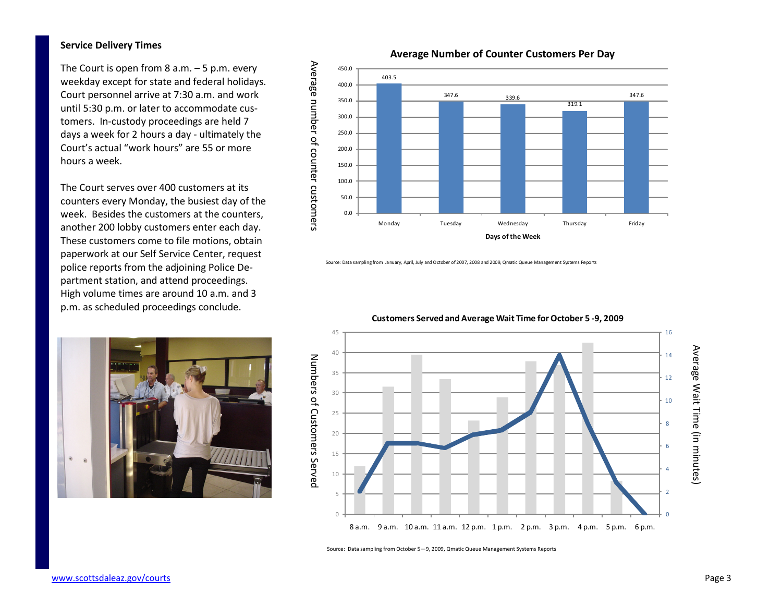#### **Service Delivery Times**

The Court is open from  $8$  a.m.  $-5$  p.m. every weekday except for state and federal holidays. Court personnel arrive at 7:30 a.m. and work until 5:30 p.m. or later to accommodate customers. In-custody proceedings are held 7 days a week for 2 hours a day - ultimately the Court's actual "work hours" are 55 or more hours a week.

The Court serves over 400 customers at its counters every Monday, the busiest day of the week. Besides the customers at the counters, another 200 lobby customers enter each day. These customers come to file motions, obtain paperwork at our Self Service Center, request police reports from the adjoining Police Department station, and attend proceedings. High volume times are around 10 a.m. and 3 p.m. as scheduled proceedings conclude.





Source: Data sampling from January, April, July and October of 2007, 2008 and 2009, Qmatic Queue Management Systems Reports



**Customers Served and Average Wait Time for October 5 -9, 2009**

Source: Data sampling from October 5—9, 2009, Qmatic Queue Management Systems Reports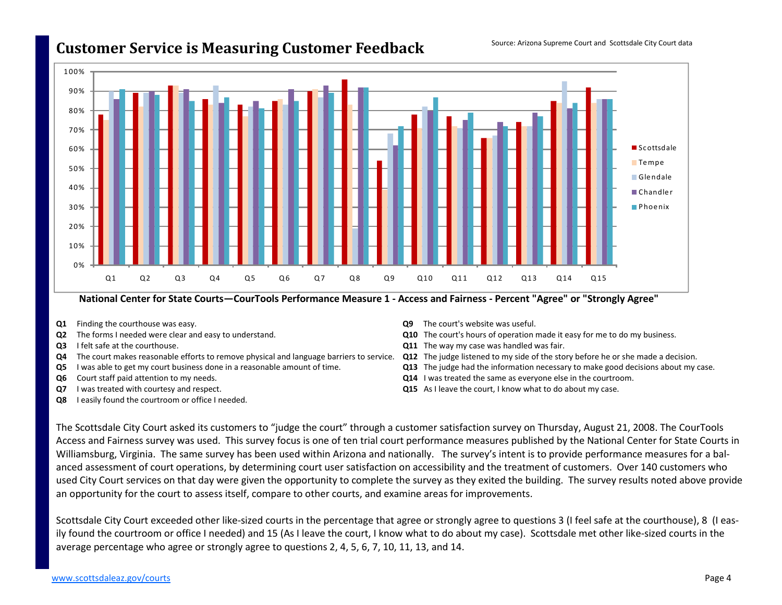### **Customer Service is Measuring Customer Feedback**



#### **National Center for State Courts—CourTools Performance Measure 1 - Access and Fairness - Percent "Agree" or "Strongly Agree"**

- **Q1** Finding the courthouse was easy.
- **Q2** The forms I needed were clear and easy to understand.
- **Q3** I felt safe at the courthouse.
- **Q4** The court makes reasonable efforts to remove physical and language barriers to service. **Q12** The judge listened to my side of the story before he or she made a decision.
- **Q5** I was able to get my court business done in a reasonable amount of time.
- **Q6** Court staff paid attention to my needs.
- **Q7** I was treated with courtesy and respect.
- **Q8** I easily found the courtroom or office I needed.
- **Q9** The court's website was useful.
- **Q10** The court's hours of operation made it easy for me to do my business.
- **Q11** The way my case was handled was fair.
- 
- **Q13** The judge had the information necessary to make good decisions about my case.
- **Q14** I was treated the same as everyone else in the courtroom.
- **Q15** As I leave the court, I know what to do about my case.

The Scottsdale City Court asked its customers to "judge the court" through a customer satisfaction survey on Thursday, August 21, 2008. The CourTools Access and Fairness survey was used. This survey focus is one of ten trial court performance measures published by the National Center for State Courts in Williamsburg, Virginia. The same survey has been used within Arizona and nationally. The survey's intent is to provide performance measures for a balanced assessment of court operations, by determining court user satisfaction on accessibility and the treatment of customers. Over 140 customers who used City Court services on that day were given the opportunity to complete the survey as they exited the building. The survey results noted above provide an opportunity for the court to assess itself, compare to other courts, and examine areas for improvements.

Scottsdale City Court exceeded other like-sized courts in the percentage that agree or strongly agree to questions 3 (I feel safe at the courthouse), 8 (I easily found the courtroom or office I needed) and 15 (As I leave the court, I know what to do about my case). Scottsdale met other like-sized courts in theaverage percentage who agree or strongly agree to questions 2, 4, 5, 6, 7, 10, 11, 13, and 14.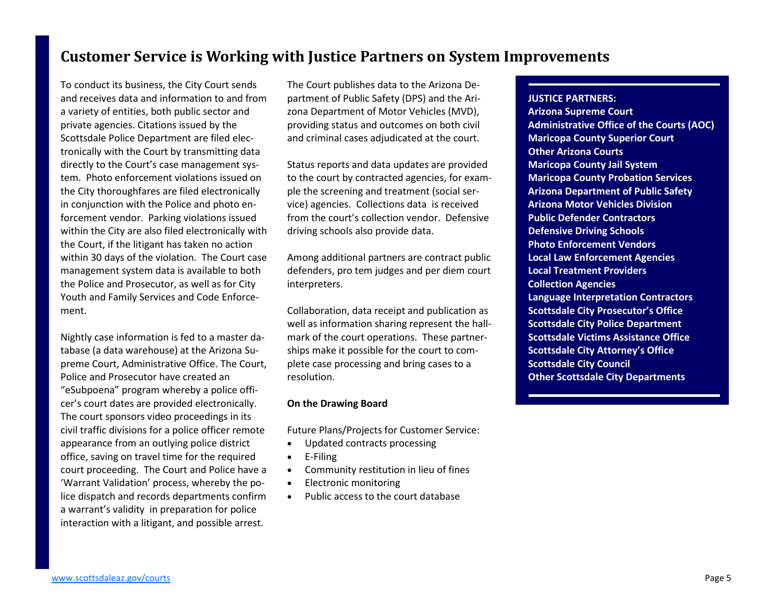### **Customer Service is Working with Justice Partners on System Improvements**

To conduct its business, the City Court sends and receives data and information to and from a variety of entities, both public sector and private agencies. Citations issued by the Scottsdale Police Department are filed electronically with the Court by transmitting data directly to the Court's case management system. Photo enforcement violations issued on the City thoroughfares are filed electronically in conjunction with the Police and photo enforcement vendor. Parking violations issued within the City are also filed electronically with the Court, if the litigant has taken no action within 30 days of the violation. The Court case management system data is available to both the Police and Prosecutor, as well as for City Youth and Family Services and Code Enforcement.

Nightly case information is fed to a master database (a data warehouse) at the Arizona Supreme Court, Administrative Office. The Court, Police and Prosecutor have created an "eSubpoena" program whereby a police officer's court dates are provided electronically. The court sponsors video proceedings in its civil traffic divisions for a police officer remoteappearance from an outlying police district office, saving on travel time for the required court proceeding. The Court and Police have a 'Warrant Validation' process, whereby the police dispatch and records departments confirm a warrant's validity in preparation for police interaction with a litigant, and possible arrest.

The Court publishes data to the Arizona Department of Public Safety (DPS) and the Arizona Department of Motor Vehicles (MVD), providing status and outcomes on both civil and criminal cases adjudicated at the court.

Status reports and data updates are provided to the court by contracted agencies, for example the screening and treatment (social service) agencies. Collections data is received from the court's collection vendor. Defensive driving schools also provide data.

Among additional partners are contract public defenders, pro tem judges and per diem court interpreters.

Collaboration, data receipt and publication as well as information sharing represent the hallmark of the court operations. These partnerships make it possible for the court to complete case processing and bring cases to a resolution.

#### **On the Drawing Board**

Future Plans/Projects for Customer Service:

- Updated contracts processing
- E-Filing
- Community restitution in lieu of fines
- Electronic monitoring
- Public access to the court database

#### **JUSTICE PARTNERS:**

 **Arizona Supreme Court Administrative Office of the Courts (AOC) Maricopa County Superior Court Other Arizona Courts Maricopa County Jail System Maricopa County Probation Services Arizona Department of Public Safety Arizona Motor Vehicles Division Public Defender Contractors Defensive Driving Schools Photo Enforcement Vendors Local Law Enforcement Agencies Local Treatment Providers Collection Agencies Language Interpretation Contractors Scottsdale City Prosecutor's Office Scottsdale City Police Department Scottsdale Victims Assistance Office Scottsdale City Attorney's Office Scottsdale City Council Other Scottsdale City Departments**